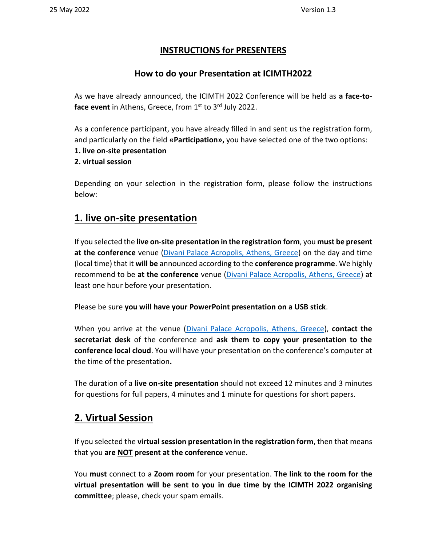## **INSTRUCTIONS for PRESENTERS**

## **How to do your Presentation at ICIMTH2022**

As we have already announced, the ICIMTH 2022 Conference will be held as **a face-to**face event in Athens, Greece, from 1<sup>st</sup> to 3<sup>rd</sup> July 2022.

As a conference participant, you have already filled in and sent us the registration form, and particularly on the field **«Participation»,** you have selected one of the two options:

- **1. live on-site presentation**
- **2. virtual session**

Depending on your selection in the registration form, please follow the instructions below:

## **1. live on-site presentation**

If you selected the **live on-site presentation in the registration form**, you **must be present at the conference** venue [\(Divani Palace Acropolis, Athens, Greece\)](https://www.icimth.com/e-conference/venue/icimth-event-location) on the day and time (local time) that it **will be** announced according to the **conference programme**. We highly recommend to be **at the conference** venue [\(Divani Palace Acropolis, Athens, Greece\)](https://www.icimth.com/e-conference/venue/icimth-event-location) at least one hour before your presentation.

Please be sure **you will have your PowerPoint presentation on a USB stick**.

When you arrive at the venue [\(Divani Palace Acropolis, Athens, Greece\)](https://www.icimth.com/e-conference/venue/icimth-event-location), **contact the secretariat desk** of the conference and **ask them to copy your presentation to the conference local cloud**. You will have your presentation on the conference's computer at the time of the presentation**.**

The duration of a **live on-site presentation** should not exceed 12 minutes and 3 minutes for questions for full papers, 4 minutes and 1 minute for questions for short papers.

## **2. Virtual Session**

If you selected the **virtual session presentation in the registration form**, then that means that you **are NOT present at the conference** venue.

You **must** connect to a **Zoom room** for your presentation. **The link to the room for the virtual presentation will be sent to you in due time by the ICIMTH 2022 organising committee**; please, check your spam emails.